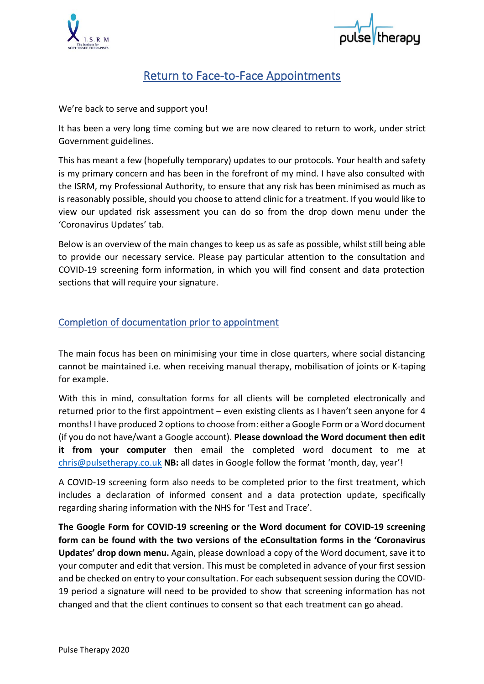



# Return to Face-to-Face Appointments

We're back to serve and support you!

It has been a very long time coming but we are now cleared to return to work, under strict Government guidelines.

This has meant a few (hopefully temporary) updates to our protocols. Your health and safety is my primary concern and has been in the forefront of my mind. I have also consulted with the ISRM, my Professional Authority, to ensure that any risk has been minimised as much as is reasonably possible, should you choose to attend clinic for a treatment. If you would like to view our updated risk assessment you can do so from the drop down menu under the 'Coronavirus Updates' tab.

Below is an overview of the main changes to keep us as safe as possible, whilst still being able to provide our necessary service. Please pay particular attention to the consultation and COVID-19 screening form information, in which you will find consent and data protection sections that will require your signature.

## Completion of documentation prior to appointment

The main focus has been on minimising your time in close quarters, where social distancing cannot be maintained i.e. when receiving manual therapy, mobilisation of joints or K-taping for example.

With this in mind, consultation forms for all clients will be completed electronically and returned prior to the first appointment – even existing clients as I haven't seen anyone for 4 months! I have produced 2 optionsto choose from: either a Google Form or a Word document (if you do not have/want a Google account). **Please download the Word document then edit it from your computer** then email the completed word document to me at [chris@pulsetherapy.co.uk](mailto:chris@pulsetherapy.co.uk) **NB:** all dates in Google follow the format 'month, day, year'!

A COVID-19 screening form also needs to be completed prior to the first treatment, which includes a declaration of informed consent and a data protection update, specifically regarding sharing information with the NHS for 'Test and Trace'.

**The Google Form for COVID-19 screening or the Word document for COVID-19 screening form can be found with the two versions of the eConsultation forms in the 'Coronavirus Updates' drop down menu.** Again, please download a copy of the Word document, save it to your computer and edit that version. This must be completed in advance of your first session and be checked on entry to your consultation. For each subsequent session during the COVID-19 period a signature will need to be provided to show that screening information has not changed and that the client continues to consent so that each treatment can go ahead.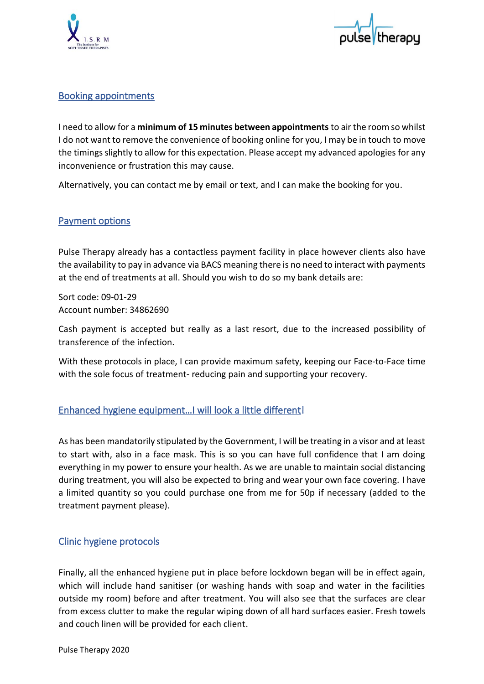



#### Booking appointments

I need to allow for a **minimum of 15 minutes between appointments** to air the room so whilst I do not want to remove the convenience of booking online for you, I may be in touch to move the timings slightly to allow for this expectation. Please accept my advanced apologies for any inconvenience or frustration this may cause.

Alternatively, you can contact me by email or text, and I can make the booking for you.

## Payment options

Pulse Therapy already has a contactless payment facility in place however clients also have the availability to pay in advance via BACS meaning there is no need to interact with payments at the end of treatments at all. Should you wish to do so my bank details are:

Sort code: 09-01-29 Account number: 34862690

Cash payment is accepted but really as a last resort, due to the increased possibility of transference of the infection.

With these protocols in place, I can provide maximum safety, keeping our Face-to-Face time with the sole focus of treatment- reducing pain and supporting your recovery.

## Enhanced hygiene equipment…I will look a little different!

As has been mandatorily stipulated by the Government, I will be treating in a visor and at least to start with, also in a face mask. This is so you can have full confidence that I am doing everything in my power to ensure your health. As we are unable to maintain social distancing during treatment, you will also be expected to bring and wear your own face covering. I have a limited quantity so you could purchase one from me for 50p if necessary (added to the treatment payment please).

#### Clinic hygiene protocols

Finally, all the enhanced hygiene put in place before lockdown began will be in effect again, which will include hand sanitiser (or washing hands with soap and water in the facilities outside my room) before and after treatment. You will also see that the surfaces are clear from excess clutter to make the regular wiping down of all hard surfaces easier. Fresh towels and couch linen will be provided for each client.